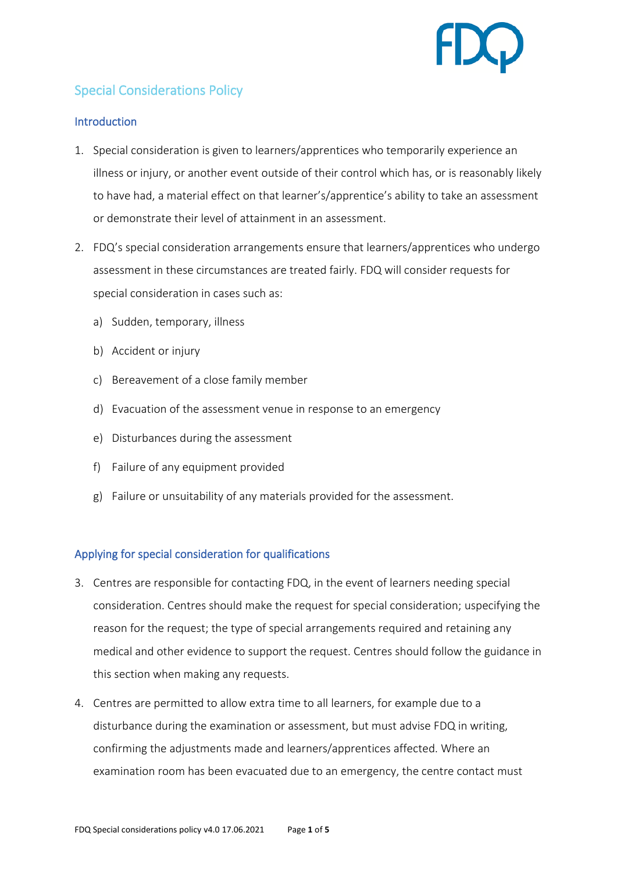

# Special Considerations Policy

## **Introduction**

- 1. Special consideration is given to learners/apprentices who temporarily experience an illness or injury, or another event outside of their control which has, or is reasonably likely to have had, a material effect on that learner's/apprentice's ability to take an assessment or demonstrate their level of attainment in an assessment.
- 2. FDQ's special consideration arrangements ensure that learners/apprentices who undergo assessment in these circumstances are treated fairly. FDQ will consider requests for special consideration in cases such as:
	- a) Sudden, temporary, illness
	- b) Accident or injury
	- c) Bereavement of a close family member
	- d) Evacuation of the assessment venue in response to an emergency
	- e) Disturbances during the assessment
	- f) Failure of any equipment provided
	- g) Failure or unsuitability of any materials provided for the assessment.

# Applying for special consideration for qualifications

- 3. Centres are responsible for contacting FDQ, in the event of learners needing special consideration. Centres should make the request for special consideration; uspecifying the reason for the request; the type of special arrangements required and retaining any medical and other evidence to support the request. Centres should follow the guidance in this section when making any requests.
- 4. Centres are permitted to allow extra time to all learners, for example due to a disturbance during the examination or assessment, but must advise FDQ in writing, confirming the adjustments made and learners/apprentices affected. Where an examination room has been evacuated due to an emergency, the centre contact must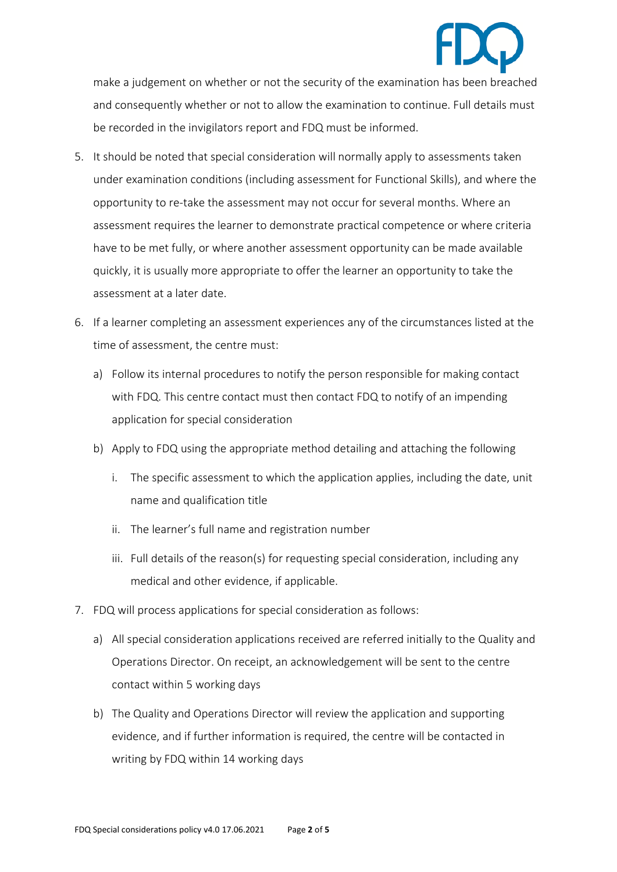make a judgement on whether or not the security of the examination has been breached and consequently whether or not to allow the examination to continue. Full details must be recorded in the invigilators report and FDQ must be informed.

- 5. It should be noted that special consideration will normally apply to assessments taken under examination conditions (including assessment for Functional Skills), and where the opportunity to re-take the assessment may not occur for several months. Where an assessment requires the learner to demonstrate practical competence or where criteria have to be met fully, or where another assessment opportunity can be made available quickly, it is usually more appropriate to offer the learner an opportunity to take the assessment at a later date.
- 6. If a learner completing an assessment experiences any of the circumstances listed at the time of assessment, the centre must:
	- a) Follow its internal procedures to notify the person responsible for making contact with FDQ. This centre contact must then contact FDQ to notify of an impending application for special consideration
	- b) Apply to FDQ using the appropriate method detailing and attaching the following
		- i. The specific assessment to which the application applies, including the date, unit name and qualification title
		- ii. The learner's full name and registration number
		- iii. Full details of the reason(s) for requesting special consideration, including any medical and other evidence, if applicable.
- 7. FDQ will process applications for special consideration as follows:
	- a) All special consideration applications received are referred initially to the Quality and Operations Director. On receipt, an acknowledgement will be sent to the centre contact within 5 working days
	- b) The Quality and Operations Director will review the application and supporting evidence, and if further information is required, the centre will be contacted in writing by FDQ within 14 working days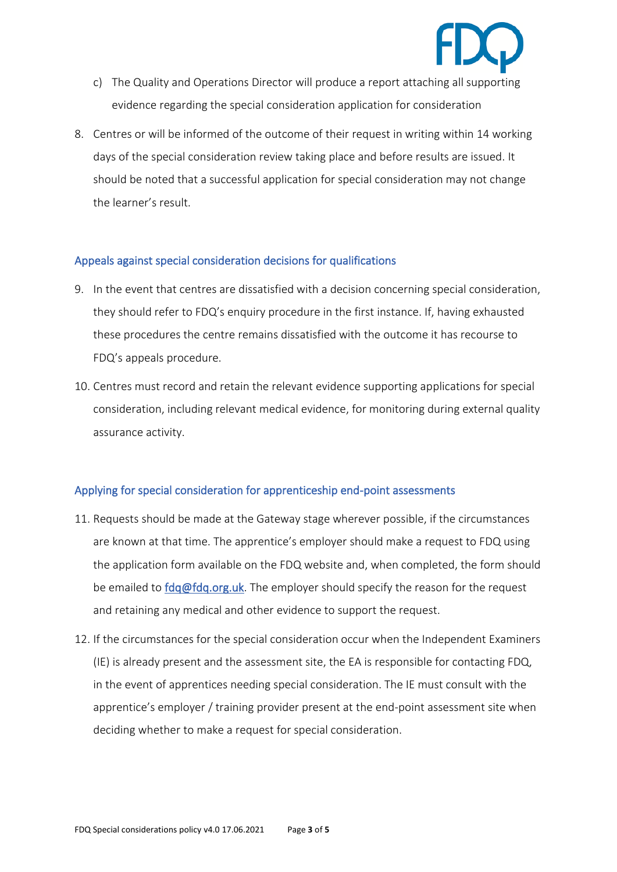

- c) The Quality and Operations Director will produce a report attaching all supporting evidence regarding the special consideration application for consideration
- 8. Centres or will be informed of the outcome of their request in writing within 14 working days of the special consideration review taking place and before results are issued. It should be noted that a successful application for special consideration may not change the learner's result.

### Appeals against special consideration decisions for qualifications

- 9. In the event that centres are dissatisfied with a decision concerning special consideration, they should refer to FDQ's enquiry procedure in the first instance. If, having exhausted these procedures the centre remains dissatisfied with the outcome it has recourse to FDQ's appeals procedure.
- 10. Centres must record and retain the relevant evidence supporting applications for special consideration, including relevant medical evidence, for monitoring during external quality assurance activity.

# Applying for special consideration for apprenticeship end-point assessments

- 11. Requests should be made at the Gateway stage wherever possible, if the circumstances are known at that time. The apprentice's employer should make a request to FDQ using the application form available on the FDQ website and, when completed, the form should be emailed to [fdq@fdq.org.uk.](mailto:fdq@fdq.org.uk) The employer should specify the reason for the request and retaining any medical and other evidence to support the request.
- 12. If the circumstances for the special consideration occur when the Independent Examiners (IE) is already present and the assessment site, the EA is responsible for contacting FDQ, in the event of apprentices needing special consideration. The IE must consult with the apprentice's employer / training provider present at the end-point assessment site when deciding whether to make a request for special consideration.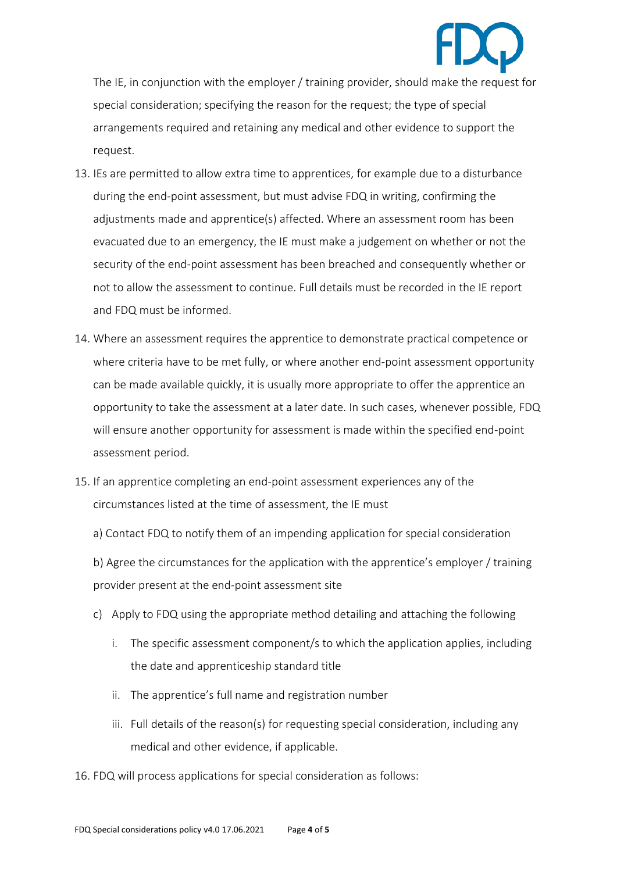

The IE, in conjunction with the employer / training provider, should make the request for special consideration; specifying the reason for the request; the type of special arrangements required and retaining any medical and other evidence to support the request.

- 13. IEs are permitted to allow extra time to apprentices, for example due to a disturbance during the end-point assessment, but must advise FDQ in writing, confirming the adjustments made and apprentice(s) affected. Where an assessment room has been evacuated due to an emergency, the IE must make a judgement on whether or not the security of the end-point assessment has been breached and consequently whether or not to allow the assessment to continue. Full details must be recorded in the IE report and FDQ must be informed.
- 14. Where an assessment requires the apprentice to demonstrate practical competence or where criteria have to be met fully, or where another end-point assessment opportunity can be made available quickly, it is usually more appropriate to offer the apprentice an opportunity to take the assessment at a later date. In such cases, whenever possible, FDQ will ensure another opportunity for assessment is made within the specified end-point assessment period.
- 15. If an apprentice completing an end-point assessment experiences any of the circumstances listed at the time of assessment, the IE must
	- a) Contact FDQ to notify them of an impending application for special consideration

b) Agree the circumstances for the application with the apprentice's employer / training provider present at the end-point assessment site

- c) Apply to FDQ using the appropriate method detailing and attaching the following
	- i. The specific assessment component/s to which the application applies, including the date and apprenticeship standard title
	- ii. The apprentice's full name and registration number
	- iii. Full details of the reason(s) for requesting special consideration, including any medical and other evidence, if applicable.
- 16. FDQ will process applications for special consideration as follows: